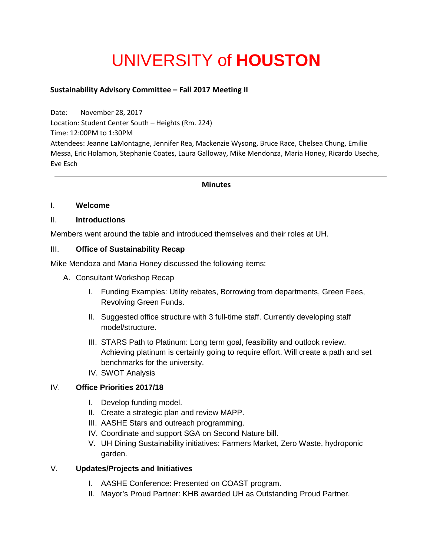# UNIVERSITY of **HOUSTON**

## **Sustainability Advisory Committee – Fall 2017 Meeting II**

Date: November 28, 2017 Location: Student Center South – Heights (Rm. 224) Time: 12:00PM to 1:30PM Attendees: Jeanne LaMontagne, Jennifer Rea, Mackenzie Wysong, Bruce Race, Chelsea Chung, Emilie Messa, Eric Holamon, Stephanie Coates, Laura Galloway, Mike Mendonza, Maria Honey, Ricardo Useche, Eve Esch

#### **Minutes**

#### I. **Welcome**

#### II. **Introductions**

Members went around the table and introduced themselves and their roles at UH.

#### III. **Office of Sustainability Recap**

Mike Mendoza and Maria Honey discussed the following items:

- A. Consultant Workshop Recap
	- I. Funding Examples: Utility rebates, Borrowing from departments, Green Fees, Revolving Green Funds.
	- II. Suggested office structure with 3 full-time staff. Currently developing staff model/structure.
	- III. STARS Path to Platinum: Long term goal, feasibility and outlook review. Achieving platinum is certainly going to require effort. Will create a path and set benchmarks for the university.
	- IV. SWOT Analysis

#### IV. **Office Priorities 2017/18**

- I. Develop funding model.
- II. Create a strategic plan and review MAPP.
- III. AASHE Stars and outreach programming.
- IV. Coordinate and support SGA on Second Nature bill.
- V. UH Dining Sustainability initiatives: Farmers Market, Zero Waste, hydroponic garden.

### V. **Updates/Projects and Initiatives**

- I. AASHE Conference: Presented on COAST program.
- II. Mayor's Proud Partner: KHB awarded UH as Outstanding Proud Partner.